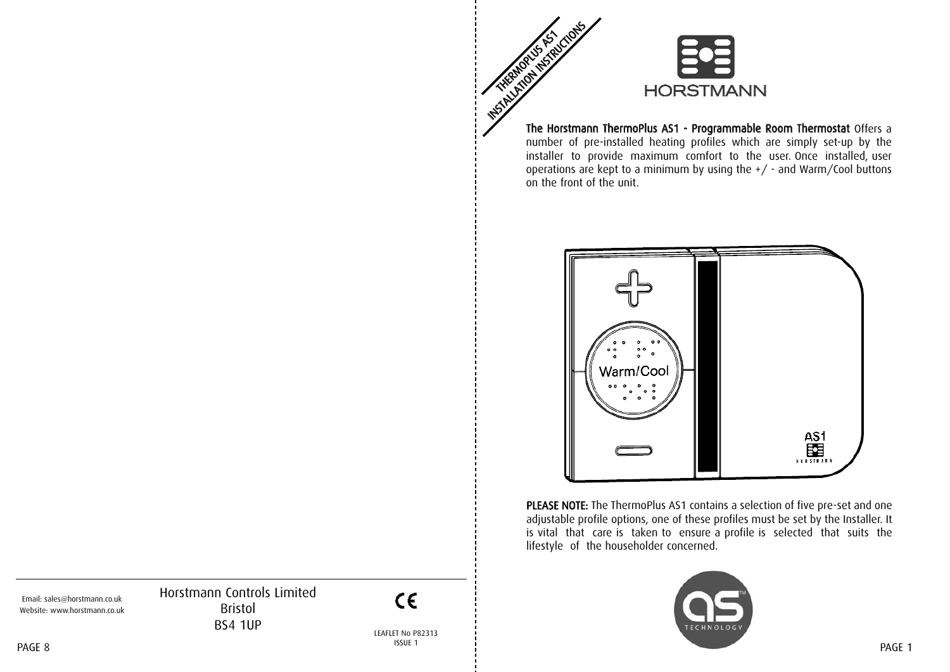

The Horstmann ThermoPlus AS1 - Programmable Room Thermostat Offers a number of pre-installed heating profiles which are simply set-up by the installer to provide maximum comfort to the user. Once installed, user operations are kept to a minimum by using the +/ - and Warm/Cool buttons on the front of the unit.



PLEASE NOTE: The ThermoPlus AS1 contains a selection of five pre-set and one adjustable profile options, one of these profiles must be set by the Installer. It is vital that care is taken to ensure a profile is selected that suits the lifestyle of the householder concerned.



Horstmann Controls Limited Bristol BS4 1UP Email: sales@horstmann.co.uk Website: www.horstmann.co.uk

LEAFLET No P82313 ISSUE 1 PAGE 8 PAGE 1

 $C \in$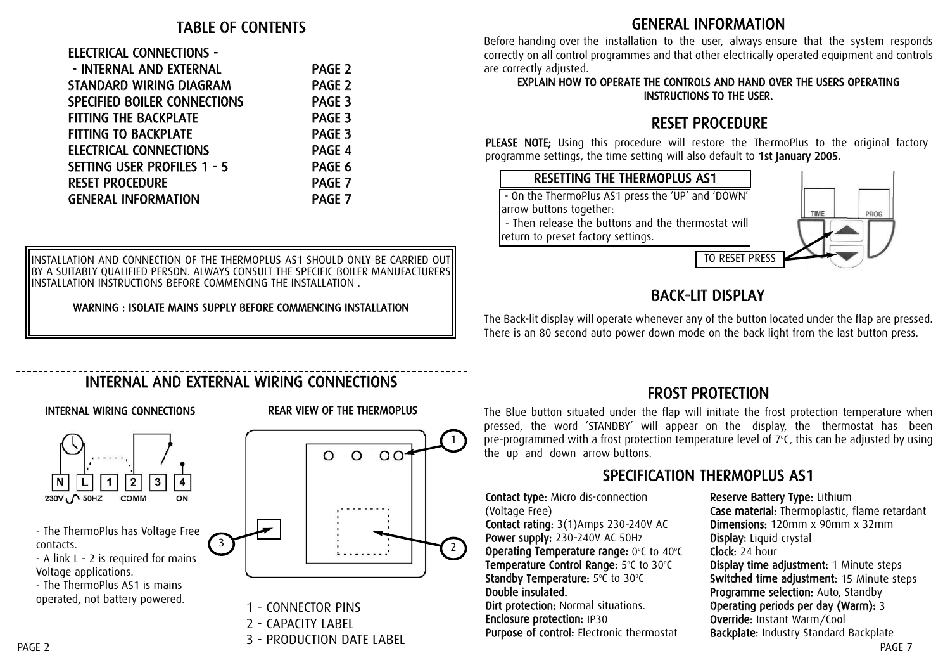#### TABLE OF CONTENTS

# ELECTRICAL CONNECTIONS -

| - INTERNAL AND EXTERNAL             | <b>PAGE 2</b>     |
|-------------------------------------|-------------------|
| <b>STANDARD WIRING DIAGRAM</b>      | PAGE <sub>2</sub> |
| <b>SPECIFIED BOILER CONNECTIONS</b> | PAGE <sub>3</sub> |
| <b>FITTING THE BACKPLATE</b>        | <b>PAGE 3</b>     |
| <b>FITTING TO BACKPLATE</b>         | PAGE <sub>3</sub> |
| <b>ELECTRICAL CONNECTIONS</b>       | PAGE 4            |
| SETTING USER PROFILES 1 - 5         | PAGE 6            |
| <b>RESET PROCEDURE</b>              | PAGE 7            |
| <b>GENERAL INFORMATION</b>          | <b>PAGE 7</b>     |
|                                     |                   |

INSTALLATION AND CONNECTION OF THE THERMOPLUS AS1 SHOULD ONLY BE CARRIED OUT BY A SUITABLY QUALIFIED PERSON. ALWAYS CONSULT THE SPECIFIC BOILER MANUFACTURERS INSTALLATION INSTRUCTIONS BEFORE COMMENCING THE INSTALLATION .

WARNING : ISOLATE MAINS SUPPLY BEFORE COMMENCING INSTALLATION

#### GENERAL INFORMATION

Before handing over the installation to the user, always ensure that the system responds correctly on all control programmes and that other electrically operated equipment and controls are correctly adjusted.

#### EXPLAIN HOW TO OPERATE THE CONTROLS AND HAND OVER THE USERS OPERATING INSTRUCTIONS TO THE USER.

# RESET PROCEDURE

PLEASE NOTE; Using this procedure will restore the ThermoPlus to the original factory programme settings, the time setting will also default to 1st January 2005.



# BACK-LIT DISPLAY

The Back-lit display will operate whenever any of the button located under the flap are pressed. There is an 80 second auto power down mode on the back light from the last button press.

# INTERNAL AND EXTERNAL WIRING CONNECTIONS

#### INTERNAL WIRING CONNECTIONS REAR VIEW OF THE THERMOPLUS





1 - CONNECTOR PINS

2 - CAPACITY LABEL

3 - PRODUCTION DATE LABEL

# FROST PROTECTION

The Blue button situated under the flap will initiate the frost protection temperature when pressed, the word 'STANDBY' will appear on the display, the thermostat has been pre-programmed with a frost protection temperature level of  $7^{\circ}$ C, this can be adjusted by using the up and down arrow buttons.

## SPECIFICATION THERMOPLUS AS1

Contact type: Micro dis-connection (Voltage Free) Contact rating: 3(1)Amps 230-240V AC Power supply: 230-240V AC 50Hz Operating Temperature range:  $0^{\circ}$ C to  $40^{\circ}$ C Temperature Control Range: 5°C to 30°C Standby Temperature: 5°C to 30°C Double insulated. Dirt protection: Normal situations. Enclosure protection: IP30 Purpose of control: Electronic thermostat

Reserve Battery Type: Lithium Case material: Thermoplastic, flame retardant Dimensions: 120mm x 90mm x 32mm Display: Liquid crystal Clock: 24 hour Display time adjustment: 1 Minute steps Switched time adjustment: 15 Minute steps Programme selection: Auto, Standby Operating periods per day (Warm): 3 Override: Instant Warm/Cool Backplate: Industry Standard Backplate PAGE 7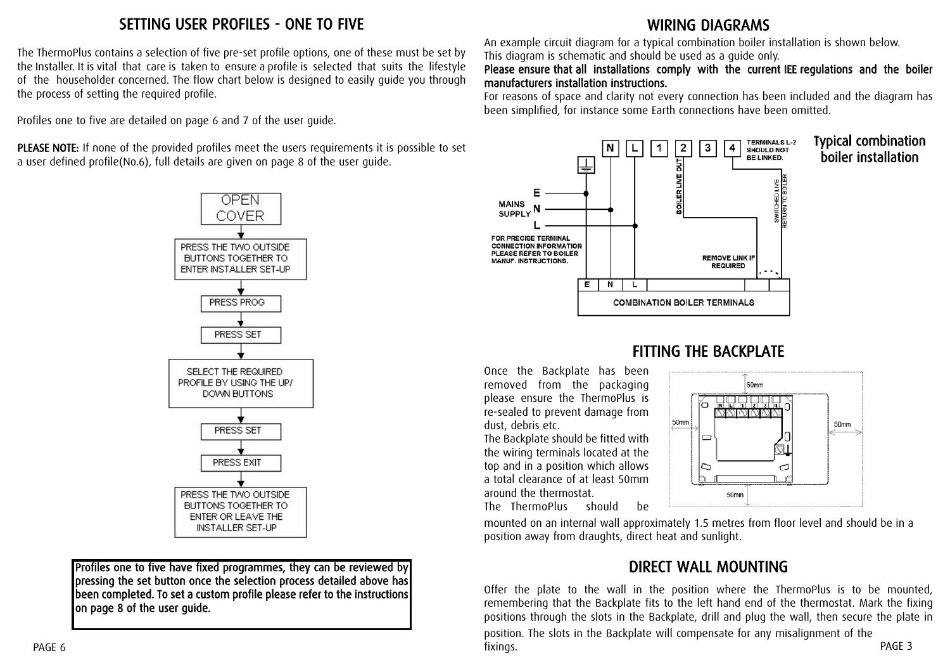## SETTING USER PROFILES - ONE TO FIVE

The ThermoPlus contains a selection of five pre-set profile options, one of these must be set by the Installer. It is vital that care is taken to ensure a profile is selected that suits the lifestyle of the householder concerned. The flow chart below is designed to easily guide you through the process of setting the required profile.

Profiles one to five are detailed on page 6 and 7 of the user guide.

PLEASE NOTE: If none of the provided profiles meet the users requirements it is possible to set a user defined profile(No.6), full details are given on page 8 of the user guide.



Profiles one to five have fixed programmes, they can be reviewed by pressing the set button once the selection process detailed above has been completed. To set a custom profile please refer to the instructions on page 8 of the user guide.

## WIRING DIAGRAMS

An example circuit diagram for a typical combination boiler installation is shown below. This diagram is schematic and should be used as a guide only.

#### Please ensure that all installations comply with the current IEE regulations and the boiler manufacturers installation instructions.

For reasons of space and clarity not every connection has been included and the diagram has been simplified, for instance some Earth connections have been omitted.



#### Typical combination boiler installation

#### FITTING THE BACKPLATE

Once the Backplate has been removed from the packaging please ensure the ThermoPlus is re-sealed to prevent damage from dust, debris etc.

The Backplate should be fitted with the wiring terminals located at the top and in a position which allows a total clearance of at least 50mm around the thermostat. The ThermoPlus should be



mounted on an internal wall approximately 1.5 metres from floor level and should be in a position away from draughts, direct heat and sunlight.

#### DIRECT WALL MOUNTING

Offer the plate to the wall in the position where the ThermoPlus is to be mounted, remembering that the Backplate fits to the left hand end of the thermostat. Mark the fixing positions through the slots in the Backplate, drill and plug the wall, then secure the plate in

PAGE 3 position. The slots in the Backplate will compensate for any misalignment of the fixings.